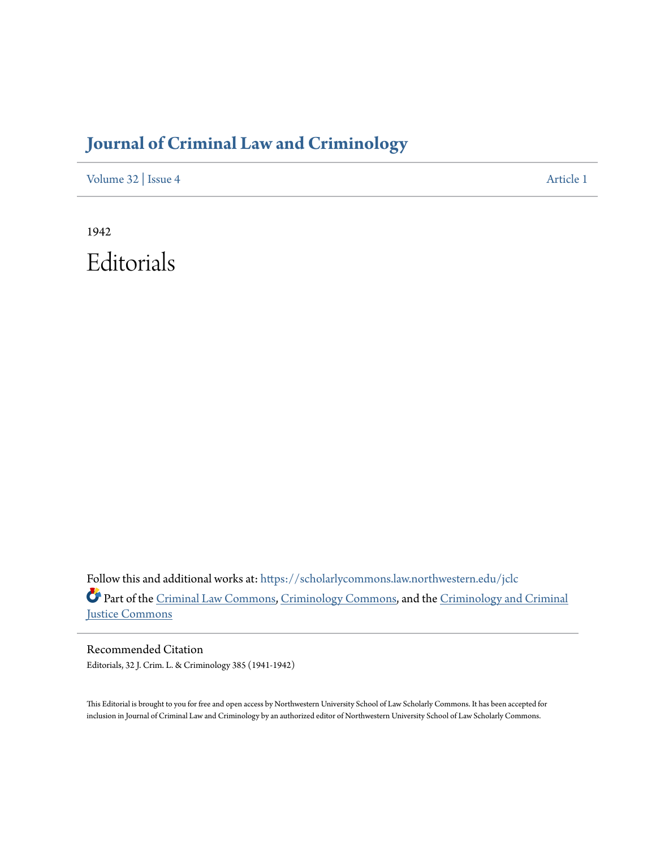## **[Journal of Criminal Law and Criminology](https://scholarlycommons.law.northwestern.edu/jclc?utm_source=scholarlycommons.law.northwestern.edu%2Fjclc%2Fvol32%2Fiss4%2F1&utm_medium=PDF&utm_campaign=PDFCoverPages)**

[Volume 32](https://scholarlycommons.law.northwestern.edu/jclc/vol32?utm_source=scholarlycommons.law.northwestern.edu%2Fjclc%2Fvol32%2Fiss4%2F1&utm_medium=PDF&utm_campaign=PDFCoverPages) | [Issue 4](https://scholarlycommons.law.northwestern.edu/jclc/vol32/iss4?utm_source=scholarlycommons.law.northwestern.edu%2Fjclc%2Fvol32%2Fiss4%2F1&utm_medium=PDF&utm_campaign=PDFCoverPages) [Article 1](https://scholarlycommons.law.northwestern.edu/jclc/vol32/iss4/1?utm_source=scholarlycommons.law.northwestern.edu%2Fjclc%2Fvol32%2Fiss4%2F1&utm_medium=PDF&utm_campaign=PDFCoverPages)

1942 Editorials

Follow this and additional works at: [https://scholarlycommons.law.northwestern.edu/jclc](https://scholarlycommons.law.northwestern.edu/jclc?utm_source=scholarlycommons.law.northwestern.edu%2Fjclc%2Fvol32%2Fiss4%2F1&utm_medium=PDF&utm_campaign=PDFCoverPages) Part of the [Criminal Law Commons](http://network.bepress.com/hgg/discipline/912?utm_source=scholarlycommons.law.northwestern.edu%2Fjclc%2Fvol32%2Fiss4%2F1&utm_medium=PDF&utm_campaign=PDFCoverPages), [Criminology Commons](http://network.bepress.com/hgg/discipline/417?utm_source=scholarlycommons.law.northwestern.edu%2Fjclc%2Fvol32%2Fiss4%2F1&utm_medium=PDF&utm_campaign=PDFCoverPages), and the [Criminology and Criminal](http://network.bepress.com/hgg/discipline/367?utm_source=scholarlycommons.law.northwestern.edu%2Fjclc%2Fvol32%2Fiss4%2F1&utm_medium=PDF&utm_campaign=PDFCoverPages) [Justice Commons](http://network.bepress.com/hgg/discipline/367?utm_source=scholarlycommons.law.northwestern.edu%2Fjclc%2Fvol32%2Fiss4%2F1&utm_medium=PDF&utm_campaign=PDFCoverPages)

Recommended Citation Editorials, 32 J. Crim. L. & Criminology 385 (1941-1942)

This Editorial is brought to you for free and open access by Northwestern University School of Law Scholarly Commons. It has been accepted for inclusion in Journal of Criminal Law and Criminology by an authorized editor of Northwestern University School of Law Scholarly Commons.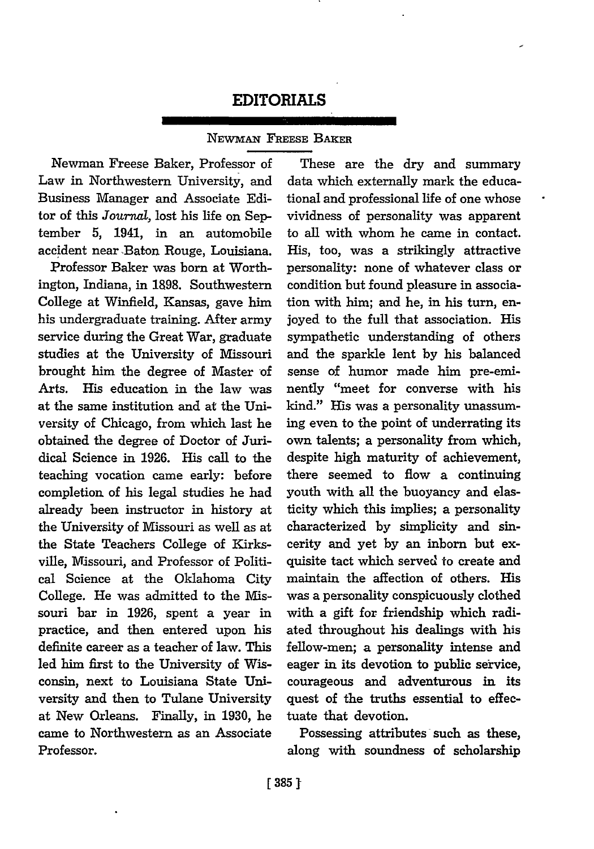## **EDITORIALS**

## NEWMAN FREESE BAKER

Newman Freese Baker, Professor of Law in Northwestern University, and Business Manager and Associate Editor of this *Journal*, lost his life on September 5, 1941, in an automobile accident near Baton Rouge, Louisiana.

Professor Baker was born at Worthington, Indiana, in 1898. Southwestern College at Winfield, Kansas, gave him his undergraduate training. After army service during the Great War, graduate studies at the University of Missouri brought him the degree of Master of Arts. His education in the law was at the same institution and at the University of Chicago, from which last he obtained the degree of Doctor of Juridical Science in 1926. His call to the teaching vocation came early: before completion of his legal studies he had already been instructor in history at the University of Missouri as well as at the State Teachers College of Kirksville, Missouri, and Professor of Political Science at the Oklahoma City College. He was admitted to the Missouri bar in 1926, spent a year in practice, and then entered upon his definite career as a teacher of law. This led him first to the University of Wisconsin, next to Louisiana State University and then to Tulane University at New Orleans. Finally, in 1930, he came to Northwestern as an Associate Professor.

These are the dry and summary data which externally mark the educational and professional life of one whose vividness of personality was apparent to all with whom he came in contact. His, too, was a strikingly attractive personality: none of whatever class or condition but found pleasure in association with him; and he, in his turn, enjoyed to the full that association. His sympathetic understanding of others and the sparkle lent by his balanced sense of humor made him pre-eminently "meet for converse with his kind." His was a personality unassuming even to the point of underrating its own talents; a personality from which, despite high maturity of achievement, there seemed to flow a continuing youth with all the buoyancy and elasticity which this implies; a personality characterized by simplicity and sincerity and yet by an inborn but exquisite tact which served to create and maintain the affection of others. His was a personality conspicuously clothed with a gift for friendship which radiated throughout his dealings with his fellow-men; a personality intense and eager in its devotion to public service, courageous and adventurous in its quest of the truths essential to effectuate that devotion.

Possessing attributes such as these, along with soundness of scholarship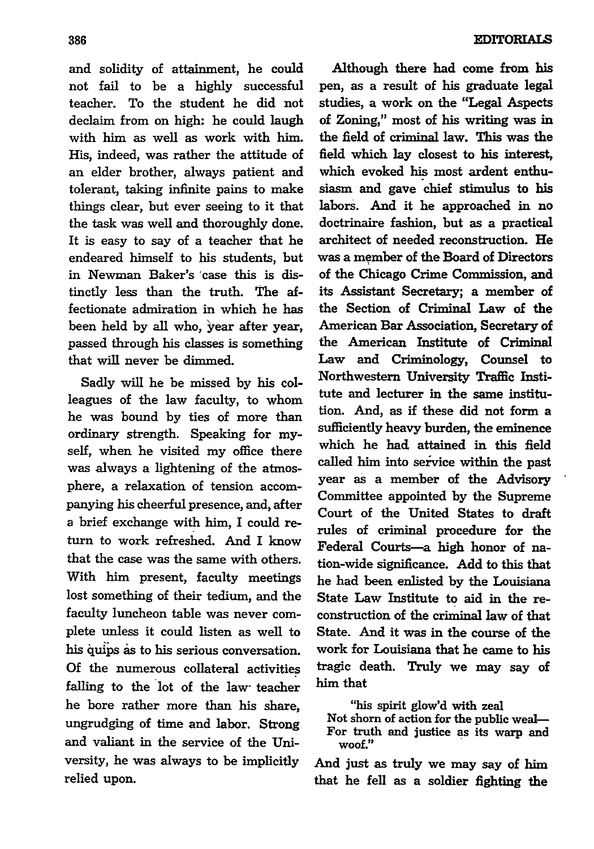and solidity of attainment, he could not fail to be a **highly** successful teacher. To the student he did not declaim from on high: he could laugh with him as well as work with him. His, indeed, was rather the attitude of an elder brother, always patient and tolerant, taking infinite pains to make things clear, but ever seeing to it that the task was well and thoroughly done. It is easy to say of a teacher that he endeared himself to his students, but in Newman Baker's 'case this is distinctly less than the truth. The affectionate admiration in which he has been held **by** all who, year after year, passed through his classes is something that will never be dimmed.

Sadly will he be missed **by** his colleagues of the law faculty, to whom he was bound **by** ties of more than ordinary strength. Speaking for myself, when he visited my office there was always a lightening of the atmosphere, a relaxation of tension accompanying his cheerful presence, and, after a brief exchange with him, I could return to work refreshed. And I know that the case was the same with others. With him present, faculty meetings lost something of their tedium, and the faculty luncheon table was never complete unless it could listen as well to his **qluips** as to his serious conversation. **Of** the numerous collateral activities falling to the lot of the law- teacher he bore rather more than his share, ungrudging of time and labor. Strong and valiant in the service of the University, he was always to be implicitly relied upon.

Although there had come from **his** pen, as a result of his graduate legal studies, a work on the "Legal Aspects of Zoning," most of his writing was in the field of criminal law. This was the field which lay closest to his interest, which evoked his most ardent enthusiasm and gave chief stimulus to his labors. And it he approached in no doctrinaire fashion, but as a practical architect of needed reconstruction. He was a member of the Board of Directors of the Chicago Crime Commission, and its Assistant Secretary; a member of the Section of Criminal Law of the American Bar Association, Secretary of the American Institute of Criminal Law and Criminology, Counsel to Northwestern University Traffic Institute and lecturer in the same institution. And, as if these did not form a sufficiently heavy burden, the eminence which he had attained in this field called him into service within the past year as a member of the Advisory Committee appointed **by** the Supreme Court of the United States to draft rules of criminal procedure for the Federal Courts-a high honor of nation-wide significance. **Add** to this that he had been enlisted **by** the Louisiana State Law Institute to aid in the reconstruction of the criminal law of that State. And it was in the course of the work for Louisiana that he came to his tragic death. Truly we may say of him that

"his spirit glow'd with zeal

Not shorn of action for the public weal-For truth and justice as its warp and **woof."**

And just as truly we may say of him that he fell as a soldier fighting the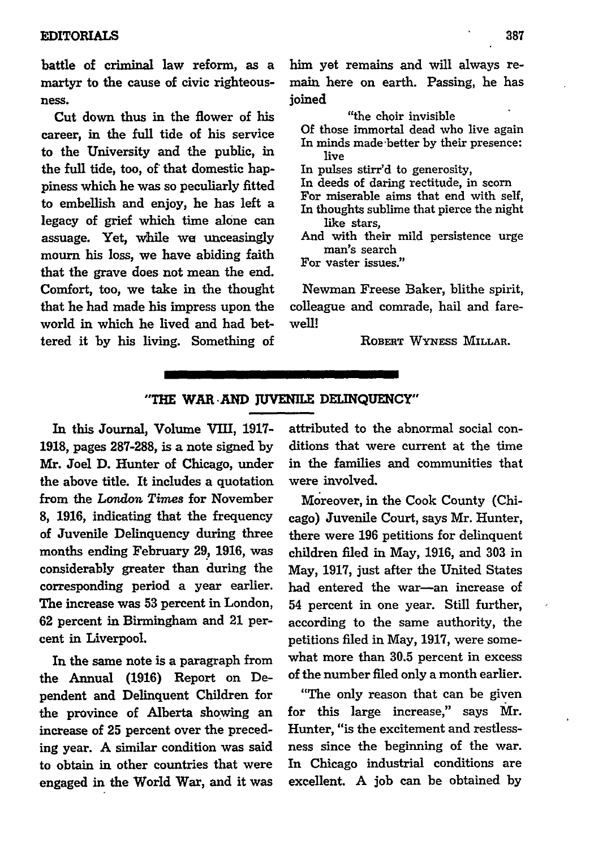battle of criminal law reform, as a martyr to the cause of civic righteousness.

Cut down thus in the flower of his career, in the full tide of his service to the University and the public, in the **full** tide, too, of that domestic happiness which he was so peculiarly fitted to embellish and enjoy, he has left a legacy of grief which time alone can assuage. Yet, while **we** unceasingly mourn his loss, we have abiding faith that the grave does not mean the end. Comfort, too, we take in the thought that he had made his impress upon the world in which he lived and had bettered it **by** his living. Something of him yet remains and will always remain here on earth. Passing, he has joined

"the choir invisible

Of those immortal dead who live again In minds made 'better by their presence: live

In pulses stirr'd to generosity,

- In deeds of daring rectitude, in scorn
- For miserable aims that end with self,
- In thoughts sublime that pierce the night like stars,
- And with their mild persistence urge man's search

For vaster issues."

Newman Freese Baker, blithe spirit, colleague and comrade, hail and farewell!

ROBERT WYxEss MILLAR.

## **"THE** WAR **-AND JUVENILE DELINQUENCY"**

In this Journal, Volume VIII, **1917- 1918,** pages **287-288,** is a note signed **by** Mr. Joel **D.** Hunter of Chicago, under the above title. It includes a quotation from the *London Times* for November **8, 1916,** indicating that the frequency of Juvenile Delinquency during three months ending February **29, 1916,** was considerably greater than during the corresponding period a year earlier. The increase was **53** percent in London, **62** percent in Birmingham and 21 percent in Liverpool.

In the same note is a paragraph from the Annual **(1916)** Report on Dependent and Delinquent Children for the province of Alberta showing an increase of **25** percent over the preceding year. A similar condition was said to obtain in other countries that were engaged in the World War, and it was attributed to the abnormal social conditions that were current at the time in the families and communities that were involved.

Moreover, in the Cook County (Chicago) Juvenile Court, says Mr. Hunter, there were 196 petitions for delinquent children filed in May, 1916, and 303 in May, 1917, just after the United States had entered the war-an increase of 54 percent in one year. Still further, according to the same authority, the petitions filed in May, 1917, were somewhat more than 30.5 percent in excess of the number filed only a month earlier.

"The only reason that can be given for this large increase," says Mr. Hunter, "is the excitement and restlessness since the beginning of the war. In Chicago industrial conditions are excellent. A **job** can be obtained by